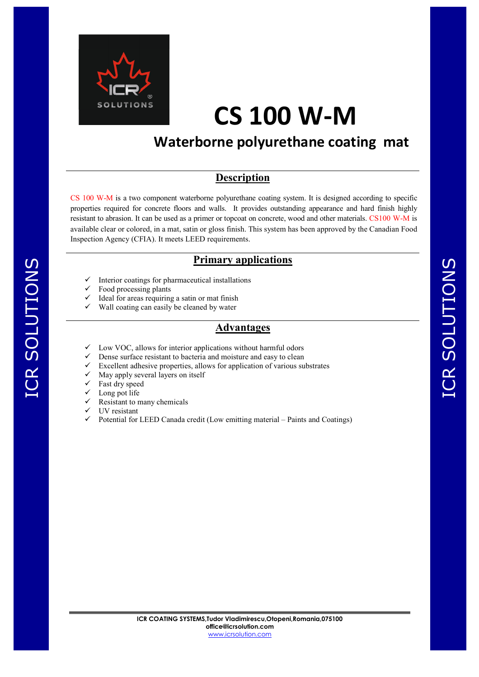

## **CS 100 W-M**

### **Waterborne polyurethane coating mat**

#### **Description**

CS 100 W-M is a two component waterborne polyurethane coating system. It is designed according to specific properties required for concrete floors and walls. It provides outstanding appearance and hard finish highly resistant to abrasion. It can be used as a primer or topcoat on concrete, wood and other materials. CS100 W-M is available clear or colored, in a mat, satin or gloss finish. This system has been approved by the Canadian Food Inspection Agency (CFIA). It meets LEED requirements.

#### **Primary applications**

- Interior coatings for pharmaceutical installations
- Food processing plants
- Ideal for areas requiring a satin or mat finish
- Wall coating can easily be cleaned by water

#### **Advantages**

- Low VOC, allows for interior applications without harmful odors
- Dense surface resistant to bacteria and moisture and easy to clean
- Excellent adhesive properties, allows for application of various substrates
- May apply several layers on itself
- Fast dry speed
- Long pot life
- Resistant to many chemicals
- UV resistant
- Potential for LEED Canada credit (Low emitting material Paints and Coatings)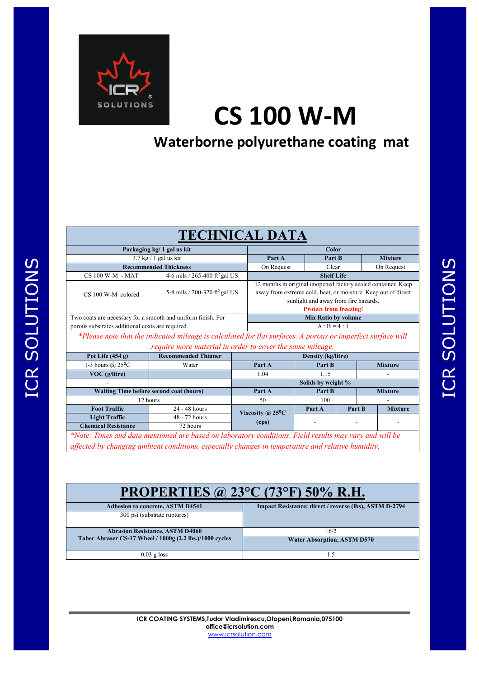

# **CS 100 W-M**

### **Waterborne polyurethane coating mat**

| <b>TECHNICAL DATA</b>                                                                                                                                                                                       |                                           |                            |                                                                                                                                                                                                         |        |                    |                |                |  |  |
|-------------------------------------------------------------------------------------------------------------------------------------------------------------------------------------------------------------|-------------------------------------------|----------------------------|---------------------------------------------------------------------------------------------------------------------------------------------------------------------------------------------------------|--------|--------------------|----------------|----------------|--|--|
| Packaging kg/ 1 gal us kit                                                                                                                                                                                  |                                           |                            | Color                                                                                                                                                                                                   |        |                    |                |                |  |  |
| $3.7$ kg $/1$ gal us kit                                                                                                                                                                                    |                                           |                            | Part A                                                                                                                                                                                                  |        | Part B             | <b>Mixture</b> |                |  |  |
| <b>Recommended Thickness</b>                                                                                                                                                                                |                                           |                            | On Request                                                                                                                                                                                              |        | Clear              | On Request     |                |  |  |
| CS 100 W-M - MAT                                                                                                                                                                                            | 4-6 mils / 265-400 ft <sup>2</sup> gal US |                            | <b>Shelf Life</b>                                                                                                                                                                                       |        |                    |                |                |  |  |
| CS 100 W-M colored                                                                                                                                                                                          | 5-8 mils / 200-320 ft <sup>2</sup> gal US |                            | 12 months in original unopened factory sealed container. Keep<br>away from extreme cold, heat, or moisture. Keep out of direct<br>sunlight and away from fire hazards.<br><b>Protect from freezing!</b> |        |                    |                |                |  |  |
| Two coats are necessary for a smooth and uniform finish. For                                                                                                                                                |                                           |                            | <b>Mix Ratio by volume</b>                                                                                                                                                                              |        |                    |                |                |  |  |
| porous substrates additional coats are required.                                                                                                                                                            |                                           |                            | $A : B = 4 : 1$                                                                                                                                                                                         |        |                    |                |                |  |  |
| *Please note that the indicated mileage is calculated for flat surfaces. A porous or imperfect surface will<br>require more material in order to cover the same mileage.                                    |                                           |                            |                                                                                                                                                                                                         |        |                    |                |                |  |  |
| Pot Life $(454 g)$                                                                                                                                                                                          | <b>Recommended Thinner</b>                | <b>Density (kg/litre)</b>  |                                                                                                                                                                                                         |        |                    |                |                |  |  |
| 1-3 hours $\omega$ 25°C                                                                                                                                                                                     | Water                                     | Part A                     |                                                                                                                                                                                                         | Part B |                    | <b>Mixture</b> |                |  |  |
| $VOC$ (g/litre)                                                                                                                                                                                             |                                           | 1.04                       |                                                                                                                                                                                                         | 1.15   |                    |                |                |  |  |
|                                                                                                                                                                                                             |                                           |                            |                                                                                                                                                                                                         |        | Solids by weight % |                |                |  |  |
| <b>Waiting Time before second coat (hours)</b>                                                                                                                                                              |                                           |                            | Part A                                                                                                                                                                                                  | Part B |                    | <b>Mixture</b> |                |  |  |
| 12 hours                                                                                                                                                                                                    |                                           |                            | 50                                                                                                                                                                                                      |        | 100                |                |                |  |  |
| <b>Foot Traffic</b>                                                                                                                                                                                         | 24 - 48 hours                             | Viscosity @ $25^{\circ}$ C |                                                                                                                                                                                                         | Part A | Part B             |                | <b>Mixture</b> |  |  |
| <b>Light Traffic</b>                                                                                                                                                                                        | 48 - 72 hours                             |                            | (cps)                                                                                                                                                                                                   |        |                    |                |                |  |  |
| <b>Chemical Resistance</b>                                                                                                                                                                                  | 72 hours                                  |                            |                                                                                                                                                                                                         |        |                    |                |                |  |  |
| *Note: Times and data mentioned are based on laboratory conditions. Field results may vary and will be<br>affected by changing ambient conditions, especially changes in temperature and relative humidity. |                                           |                            |                                                                                                                                                                                                         |        |                    |                |                |  |  |

| <b>PROPERTIES @ 23°C (73°F) 50% R.H.</b>                 |                                                        |  |  |  |  |  |
|----------------------------------------------------------|--------------------------------------------------------|--|--|--|--|--|
| <b>Adhesion to concrete, ASTM D4541</b>                  | Impact Resistance: direct / reverse (lbs), ASTM D-2794 |  |  |  |  |  |
| 300 psi (substrate ruptures)                             |                                                        |  |  |  |  |  |
| <b>Abrasion Resistance, ASTM D4060</b>                   | 16/2                                                   |  |  |  |  |  |
| Taber Abraser CS-17 Wheel / 1000g (2.2 lbs.)/1000 cycles | <b>Water Absorption, ASTM D570</b>                     |  |  |  |  |  |
| $0.03$ g loss                                            | 1.5                                                    |  |  |  |  |  |
|                                                          |                                                        |  |  |  |  |  |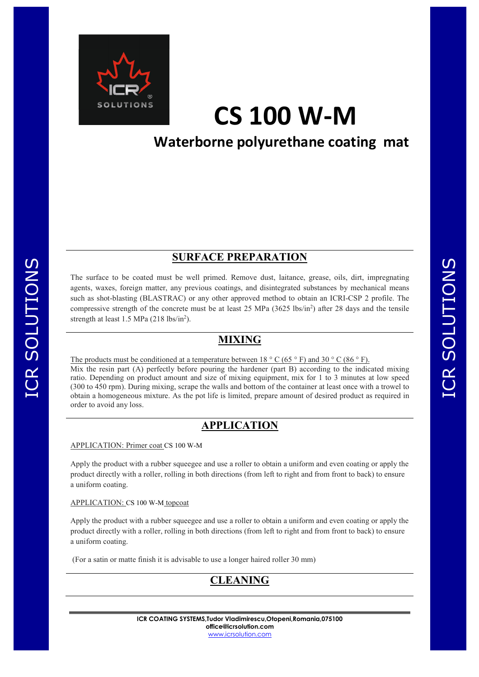

## **CS 100 W-M**

### **Waterborne polyurethane coating mat**

#### **SURFACE PREPARATION**

The surface to be coated must be well primed. Remove dust, laitance, grease, oils, dirt, impregnating agents, waxes, foreign matter, any previous coatings, and disintegrated substances by mechanical means such as shot-blasting (BLASTRAC) or any other approved method to obtain an ICRI-CSP 2 profile. The compressive strength of the concrete must be at least 25 MPa  $(3625 \text{ lbs/in}^2)$  after 28 days and the tensile strength at least  $1.5$  MPa  $(218 \text{ lbs/in}^2)$ .

#### **MIXING**

The products must be conditioned at a temperature between  $18 \degree$  C (65  $\degree$  F) and 30  $\degree$  C (86  $\degree$  F). Mix the resin part (A) perfectly before pouring the hardener (part B) according to the indicated mixing ratio. Depending on product amount and size of mixing equipment, mix for 1 to 3 minutes at low speed (300 to 450 rpm). During mixing, scrape the walls and bottom of the container at least once with a trowel to obtain a homogeneous mixture. As the pot life is limited, prepare amount of desired product as required in order to avoid any loss.

#### **APPLICATION**

APPLICATION: Primer coat CS 100 W-M

Apply the product with a rubber squeegee and use a roller to obtain a uniform and even coating or apply the product directly with a roller, rolling in both directions (from left to right and from front to back) to ensure a uniform coating.

APPLICATION: CS 100 W-M topcoat

Apply the product with a rubber squeegee and use a roller to obtain a uniform and even coating or apply the product directly with a roller, rolling in both directions (from left to right and from front to back) to ensure a uniform coating.

(For a satin or matte finish it is advisable to use a longer haired roller 30 mm)



ICR SOLUTIONS

ICR SOLUTIONS

**ICR COATING SYSTEMS,Tudor Vladimirescu,Otopeni,Romania,075100 office@icrsolution.com** www.icrsolution.com